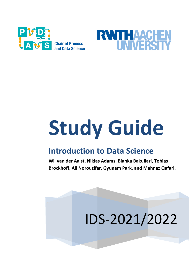



# **Study Guide**

# **Introduction to Data Science**

**Wil van der Aalst, Niklas Adams, Bianka Bakullari, Tobias Brockhoff, Ali Norouzifar, Gyunam Park, and Mahnaz Qafari.**

# IDS-2021/2022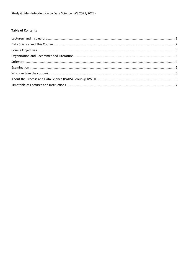#### **Table of Contents**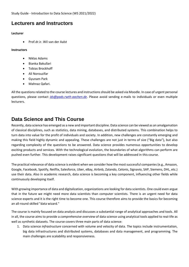Study Guide - Introduction to Data Science (WS 2021/2022)

#### <span id="page-2-0"></span>**Lecturers and Instructors**

#### **Lecturer**

Prof.dr.ir. Wil van der Aalst

#### **Instructors**

- Niklas Adams
- Bianka Bakullari
- Tobias Brockhoff
- Ali Norouzifar
- Gyunam Park
- Mahnaz Qafari.

All the questions related to the course lectures and instructions should be asked via Moodle. In case of urgent personal questions, please contact *[ids@pads.rwth-aachen.de](mailto:ids@pads.rwth-aachen.de)*. Please avoid sending e-mails to individuals or even multiple lecturers.

#### <span id="page-2-1"></span>**Data Science and This Course**

Recently, data science has emerged as a new and important discipline. Data science can be viewed as an amalgamation of classical disciplines, such as statistics, data mining, databases, and distributed systems. This combination helps to turn data into value for the profit of individuals and society. In addition, new challenges are constantly emerging and making this field highly dynamic and appealing. These challenges are not just in terms of size ("Big data"), but also regarding complexity of the questions to be answered. Data science provides numerous opportunities to develop exciting products and services. With the technological evolution, the boundaries of what algorithms can perform are pushed even further. This development raises significant questions that will be addressed in this course.

The practical relevance of data science is evident when we consider how the mostsuccessful companies (e.g., Amazon, Google, Facebook, Spotify, Netflix, Salesforce, Uber, eBay, Airbnb, Zalando, Celonis, Signavio, SAP, Siemens, DHL, etc.) use their data. Also in academic research, data science is becoming a key component, influencing other fields while continuously developing itself.

With growing importance of data and digitalization, organizations are looking for data scientists. One could even argue that in the future we might need more data scientists than computer scientists. There is an urgent need for data science experts and it is the right time to become one. This course therefore aims to provide the basics for becoming an all-round skilled "data wizard."

The course is mainly focused on data analysis and discusses a substantial range of analytical approaches and tools. All in all, the course aims to provide a *comprehensive overview* of data science using analytical tools applied to real-life as well as synthetic datasets. The course covers three main parts of data science:

1. Data science *infrastructure* concerned with volume and velocity of data. The topics include instrumentation, big data infrastructures and distributed systems, databases and data management, and programming. The main challenges are scalability and responsiveness.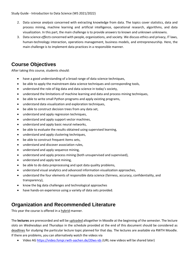Study Guide - Introduction to Data Science (WS 2021/2022)

- 2. Data science *analysis* concerned with extracting knowledge from data. The topics cover statistics, data and process mining, machine learning and artificial intelligence, operational research, algorithms, and data visualization. In this part, the main challenge is to provide answers to known and unknown unknowns.
- 3. Data science *effects* concerned with people, organizations, and society. We discuss ethics and privacy, IT laws, human-technology interaction, operations management, business models, and entrepreneurship. Here, the main challenge is to implement data practices in a responsible manner.

### <span id="page-3-0"></span>**Course Objectives**

After taking this course, students should:

- have a good understanding of a broad range of data science techniques,
- be able to apply the mainstream data science techniques and corresponding tools,
- understand the role of big data and data science in today's society,
- understand the limitations of machine learning and data and process mining techniques,
- be able to write small Python programs and apply existing programs,
- understand data visualization and exploration techniques,
- be able to construct decision trees from any data set,
- understand and apply regression techniques,
- understand and apply support vector machines,
- understand and apply basic neural networks,
- be able to evaluate the results obtained using supervised learning,
- understand and apply clustering techniques,
- be able to construct frequent items sets,
- understand and discover association rules,
- understand and apply sequence mining,
- understand and apply process mining (both unsupervised and supervised),
- understand and apply text mining,
- be able to do data preprocessing and spot data quality problems,
- understand visual analytics and advanced information visualization approaches,
- understand the four elements of responsible data science (fairness, accuracy, confidentiality, and transparency),
- know the big data challenges and technological approaches
- have hands-on experience using a variety of data sets provided.

#### <span id="page-3-1"></span>**Organization and Recommended Literature**

This year the course is offered in a hybrid manner.

The **lectures** are prerecorded and will be uploaded altogether in Moodle at the beginning of the semester. The lecture slots on *Wednesdays* and *Thursdays* in the schedule provided at the end of this document should be considered as deadlines for studying the particular lecture topic planned for that day. The lectures are available via RWTH Moodle. If there are problems, you can alternatively watch the videos via

Video AG<https://video.fsmpi.rwth-aachen.de/20ws-ids> (URL new videos will be shared later)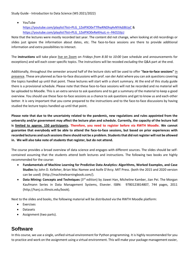YouTube

[https://youtube.com/playlist?list=PLG\\_1ZxIPXO0vTTfheRNDhq4vNYAdJBUyC](https://youtube.com/playlist?list=PLG_1ZxIPXO0vTTfheRNDhq4vNYAdJBUyC) & [https://youtube.com/playlist?list=PLG\\_1ZxIPXO0vReKHuzL-n--f4iO2JIjcJ](https://youtube.com/playlist?list=PLG_1ZxIPXO0vReKHuzL-n--f4iO2JIjcJ)

Note that the lectures were mostly recorded last year. The content did not change, when looking at old recordings or slides just ignore the information about dates, etc. The face-to-face sessions are there to provide additional information and extra possibilities to interact.

The **instructions** will take place live on Zoom on *Fridays from 8:30 to 10:00* (see schedule and announcements for exceptions) and will each cover specific topics. The instructions will be recoded *excluding* the Q&A part at the end.

Additionally, throughout the semester around half of the lecture slots will be used to offer "**face-to-face sessions"** in presence. These are planned as face-to-face discussions with prof. van der Aalst where you can ask questions covering the topics handled up until that point. These lectures will start with a short summary. At the end of this study guide there is a provisional schedule. Please note that these face-to-face sessions will not be recorded and no material will be uploaded to Moodle. This is an extra service to ask questions and to get a summary of the material to keep a good overview. You should use these face-to-face sessions as a chance to ask questions and get to know us and each-other better. It is very important that you come prepared to the instructions and to the face-to-face discussions by having studied the lecture topics handled up until that point.

**Please note that due to the uncertainty related to the pandemic, new regulations and rules appointed from the university and/or government may affect the lecture plan and schedule. Currently, the capacity of the lecture hall is limited to approx. 150 participants. Therefore, you need to register before via RWTH Moodle. We cannot guarantee that everybody will be able to attend the face-to-face sessions, but based on prior experiences with recorded lectures and such sessions there should not be a problem. Students that did not register will not be allowed in. We will also take note of students that register, but do not attend.**

The course provides a broad overview of data science and engages with different sources. The slides should be selfcontained assuming that the students attend both lectures and instructions. The following two books are highly recommended for the course:

- **Fundamentals of Machine Learning for Predictive Data Analytics: Algorithms, Worked Examples, and Case Studies** by John D. Kelleher, Brian Mac Namee and Aoife D'Arcy. MIT Press. (both the 2015 and 2020 version can be used) (http://machinelearningbook.com/).
- **Data Mining: Concepts and Techniques** (3<sup>rd</sup> edition) by Jiawei Han, Micheline Kamber, Jian Pei. The Morgan Kaufmann Series in Data Management Systems, Elsevier. ISBN: 9780123814807, 744 pages, 2011 (http://hanj.cs.illinois.edu/book).

Next to the slides and books, the following material will be distributed via the RWTH Moodle platform:

- **•** Exercises
- Datasets
- Assignment (two parts).

#### <span id="page-4-0"></span>**Software**

In this course, we use a single, unified virtual environment for Python programming. It is highly recommended for you to practice and work on the assignment using a virtual environment. This will make your package management easier,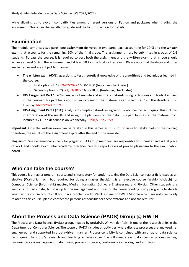while allowing us to avoid incompatibilities among different versions of Python and packages when grading the assignment. Please see the installation guide and the first instruction for details.

### <span id="page-5-0"></span>**Examination**

The module comprises two parts: one **assignment** delivered in two parts (each accounting for 20%) and the **written exam** that accounts for the remaining 60% of the final grade. The assignment must be submitted in groups of 2-3 students. To pass the course, it is required to pass both the assignment and the written exam, that is, you should achieve at least 50% in the assignment and at least 50% in the final written exam. Please note that the dates and times are tentative and are subject to changes.

- **The written exam** (60%): questions to test theoretical knowledge of the algorithms and techniques learned in the course:
	- o First option (PT1): 09/02/2022 16.00-18.00 (tentative, check later)
	- o Second option (PT2): 21/03/2022 16.00-18.00 (tentative, check later)
- **IDS Assignment Part 1** (20%): analysis of real-life and synthetic datasets using techniques and tools discussed in the course. This part tests your understanding of the material given in lectures 1-8. The deadline is on Tuesday 14/12/2021 23:59.
- **IDS Assignment Part 2** (20%): analysis of complex datasets using various data science techniques. This includes interpretation of the results and using multiple views on the data. This part focuses on the material from lectures 9-21. The deadline is on Wednesday 19/01/2022 23:59.

**Important:** Only the written exam can be retaken in this semester. It is not possible to retake parts of the course; therefore, the results of the assignment expire after the end of the semester.

**Plagiarism:** We systematically check for plagiarism. All group members are responsible to submit an individual piece of work and should avoid unfair academic practices. We will report cases of proven plagiarism to the examination board.

#### <span id="page-5-1"></span>**Who can take the course?**

This course is a master program course and is mandatory for students taking the Data Science master (it is listed as an elective (Wahlpflichtfach) but required for doing a master thesis). It is an elective course (Wahlpflichtfach) for Computer Science (Informatik) master, Media Informatics, Software Engineering, and Physics. Other students are welcome to participate, but it is up to the management and rules of the corresponding study programs to decide whether the course "counts". If you have problems with RWTH Online or RWTH Moodle which are not specifically related to this course, please contact the persons responsible for these systems and not the lecturer.

## <span id="page-5-2"></span>**About the Process and Data Science (PADS) Group @ RWTH**

The Process and Data Science (PADS) group, headed by prof.dr.ir. Wil van der Aalst, is one of the research units in the Department of Computer Science. The scope of PADS includes all activities where discrete processes are analyzed, reengineered, and supported in a data-driven manner. Process-centricity is combined with an array of data science techniques. The group's research and teaching activities cover the following areas: data science, process mining, business process management, data mining, process discovery, conformance checking, and simulation.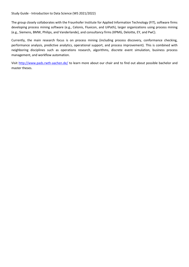The group closely collaborates with the Fraunhofer Institute for Applied Information Technology (FIT), software firms developing process mining software (e.g., Celonis, Fluxicon, and UiPath), larger organizations using process mining (e.g., Siemens, BMW, Philips, and Vanderlande), and consultancy firms (KPMG, Deloitte, EY, and PwC).

Currently, the main research focus is on process mining (including process discovery, conformance checking, performance analysis, predictive analytics, operational support, and process improvement). This is combined with neighboring disciplines such as operations research, algorithms, discrete event simulation, business process management, and workflow automation.

Visit<http://www.pads.rwth-aachen.de/> to learn more about our chair and to find out about possible bachelor and master theses.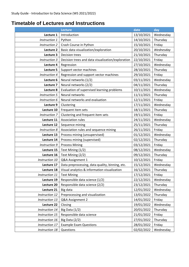### <span id="page-7-0"></span>**Timetable of Lectures and Instructions**

|                      | <b>Lecture</b>                                    | date       | day       |
|----------------------|---------------------------------------------------|------------|-----------|
| Lecture 1            | Introduction                                      | 13/10/2021 | Wednesday |
| Instruction 1        | Python                                            | 14/10/2021 | Thursday  |
| <b>Instruction 2</b> | Crash Course in Python                            | 15/10/2021 | Friday    |
| Lecture 2            | Basic data visualization/exploration              | 20/10/2021 | Wednesday |
| Lecture 3            | <b>Decision trees</b>                             | 21/10/2021 | Thursday  |
| Instruction 3        | Decision trees and data visualization/exploration | 22/10/2021 | Friday    |
| Lecture 4            | Regression                                        | 27/10/2021 | Wednesday |
| Lecture 5            | Support vector machines                           | 28/10/2021 | Thursday  |
| Instruction 4        | Regression and support vector machines            | 29/10/2021 | Friday    |
| Lecture 6            | Neural networks (1/2)                             | 03/11/2021 | Wednesday |
| Lecture 7            | Neural networks (2/2)                             | 04/11/2021 | Thursday  |
| Lecture 8            | Evaluation of supervised learning problems        | 10/11/2021 | Wednesday |
| <b>Instruction 5</b> | Neural networks                                   | 11/11/2021 | Thursday  |
| Instruction 6        | Neural networks and evaluation                    | 12/11/2021 | Friday    |
| Lecture 9            | Clustering                                        | 17/11/2021 | Wednesday |
| Lecture 10           | Frequent item sets                                | 18/11/2021 | Thursday  |
| Instruction 7        | Clustering and frequent item sets                 | 19/11/2021 | Friday    |
| Lecture 11           | <b>Association rules</b>                          | 24/11/2021 | Wednesday |
| Lecture 12           | Sequence mining                                   | 25/11/2021 | Thursday  |
| <b>Instruction 8</b> | Association rules and sequence mining             | 26/11/2021 | Friday    |
| Lecture 13           | Process mining (unsupervised)                     | 01/12/2021 | Wednesday |
| Lecture 14           | Process mining (supervised)                       | 02/12/2021 | Thursday  |
| Instruction 9        | <b>Process Mining</b>                             | 03/12/2021 | Friday    |
| Lecture 15           | Text Mining (1/2)                                 | 08/12/2021 | Wednesday |
| Lecture 16           | Text Mining (2/2)                                 | 09/12/2021 | Thursday  |
| Instruction 10       | Q&A Assignment 1                                  | 10/12/2021 | Friday    |
| Lecture 17           | Data preprocessing, data quality, binning, etc.   | 15/12/2021 | Wednesday |
| Lecture 18           | Visual analytics & information visualization      | 16/12/2021 | Thursday  |
| Instruction 11       | <b>Text Mining</b>                                | 17/12/2021 | Friday    |
| Lecture 19           | Responsible data science (1/2)                    | 22/12/2021 | Wednesday |
| Lecture 20           | Responsible data science (2/2)                    | 23/12/2021 | Thursday  |
| Lecture 21           | Big data                                          | 12/01/2022 | Wednesday |
| Instruction 12       | Preprocessing and visualization                   | 13/01/2022 | Thursday  |
| Instruction 13       | Q&A Assignment 2                                  | 14/01/2022 | Friday    |
| Lecture 22           | Closing                                           | 19/01/2022 | Wednesday |
| Instruction 14       | Big Data $(1/2)$                                  | 20/01/2022 | Thursday  |
| Instruction 15       | Responsible data science                          | 21/01/2022 | Friday    |
| Instruction 16       | Big Data $(2/2)$                                  | 27/01/2022 | Thursday  |
| Instruction 17       | <b>Example Exam Questions</b>                     | 28/01/2022 | Friday    |
| Instruction 18       | Questions                                         | 02/02/2022 | Wednesday |